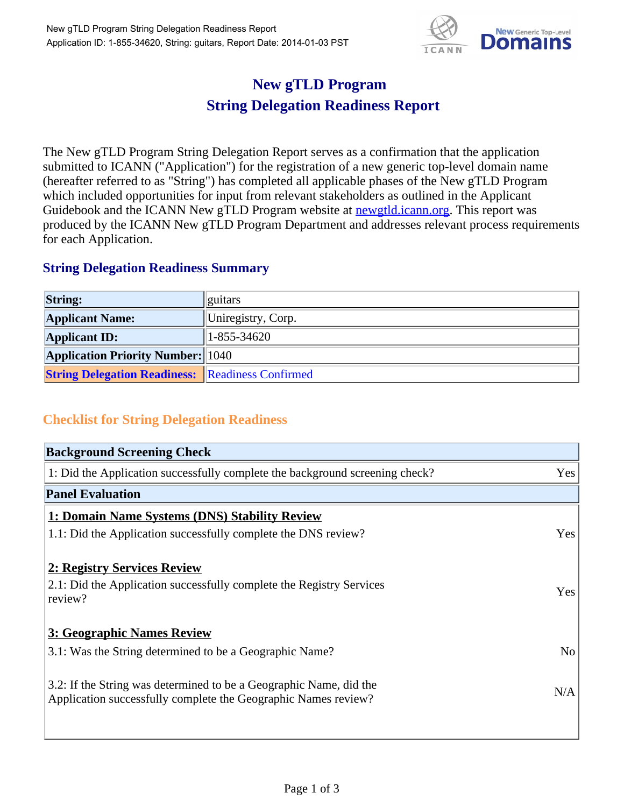

## **New gTLD Program String Delegation Readiness Report**

The New gTLD Program String Delegation Report serves as a confirmation that the application submitted to ICANN ("Application") for the registration of a new generic top-level domain name (hereafter referred to as "String") has completed all applicable phases of the New gTLD Program which included opportunities for input from relevant stakeholders as outlined in the Applicant Guidebook and the ICANN New gTLD Program website at **newgtld.jcann.org**. This report was produced by the ICANN New gTLD Program Department and addresses relevant process requirements for each Application.

## **String Delegation Readiness Summary**

| <b>String:</b>                                          | guitars            |
|---------------------------------------------------------|--------------------|
| <b>Applicant Name:</b>                                  | Uniregistry, Corp. |
| <b>Applicant ID:</b>                                    | 1-855-34620        |
| <b>Application Priority Number:</b> 1040                |                    |
| <b>String Delegation Readiness: Readiness Confirmed</b> |                    |

## **Checklist for String Delegation Readiness**

| <b>Background Screening Check</b>                                                                                                    |                |
|--------------------------------------------------------------------------------------------------------------------------------------|----------------|
| 1: Did the Application successfully complete the background screening check?                                                         | Yes            |
| <b>Panel Evaluation</b>                                                                                                              |                |
| 1: Domain Name Systems (DNS) Stability Review                                                                                        |                |
| 1.1: Did the Application successfully complete the DNS review?                                                                       | Yes            |
| 2: Registry Services Review                                                                                                          |                |
| 2.1: Did the Application successfully complete the Registry Services<br>review?                                                      | Yes            |
| 3: Geographic Names Review                                                                                                           |                |
| 3.1: Was the String determined to be a Geographic Name?                                                                              | N <sub>o</sub> |
| 3.2: If the String was determined to be a Geographic Name, did the<br>Application successfully complete the Geographic Names review? | N/A            |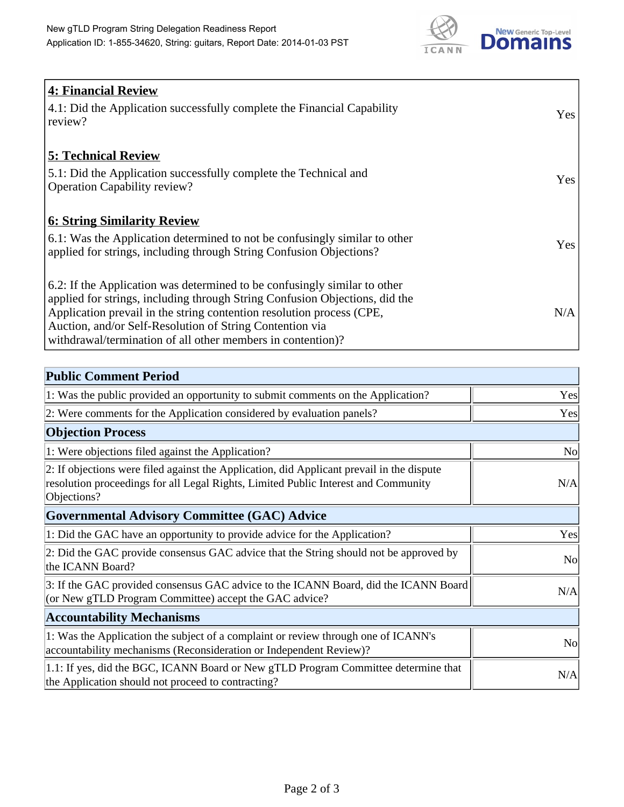

| <b>4: Financial Review</b><br>4.1: Did the Application successfully complete the Financial Capability<br>review?                                                                                                                                                                                                                                             | Yes |
|--------------------------------------------------------------------------------------------------------------------------------------------------------------------------------------------------------------------------------------------------------------------------------------------------------------------------------------------------------------|-----|
| <b>5: Technical Review</b><br>5.1: Did the Application successfully complete the Technical and<br><b>Operation Capability review?</b>                                                                                                                                                                                                                        | Yes |
| <b>6: String Similarity Review</b><br>6.1: Was the Application determined to not be confusingly similar to other<br>applied for strings, including through String Confusion Objections?                                                                                                                                                                      | Yes |
| 6.2: If the Application was determined to be confusingly similar to other<br>applied for strings, including through String Confusion Objections, did the<br>Application prevail in the string contention resolution process (CPE,<br>Auction, and/or Self-Resolution of String Contention via<br>withdrawal/termination of all other members in contention)? | N/A |

| <b>Public Comment Period</b>                                                                                                                                                                   |                |
|------------------------------------------------------------------------------------------------------------------------------------------------------------------------------------------------|----------------|
| 1: Was the public provided an opportunity to submit comments on the Application?                                                                                                               | Yes            |
| 2: Were comments for the Application considered by evaluation panels?                                                                                                                          | Yes            |
| <b>Objection Process</b>                                                                                                                                                                       |                |
| 1: Were objections filed against the Application?                                                                                                                                              | <b>No</b>      |
| 2: If objections were filed against the Application, did Applicant prevail in the dispute<br>resolution proceedings for all Legal Rights, Limited Public Interest and Community<br>Objections? | N/A            |
| <b>Governmental Advisory Committee (GAC) Advice</b>                                                                                                                                            |                |
| 1: Did the GAC have an opportunity to provide advice for the Application?                                                                                                                      | Yes            |
| 2: Did the GAC provide consensus GAC advice that the String should not be approved by<br>the ICANN Board?                                                                                      | N <sub>0</sub> |
| 3: If the GAC provided consensus GAC advice to the ICANN Board, did the ICANN Board<br>(or New gTLD Program Committee) accept the GAC advice?                                                  | N/A            |
| <b>Accountability Mechanisms</b>                                                                                                                                                               |                |
| 1: Was the Application the subject of a complaint or review through one of ICANN's<br>accountability mechanisms (Reconsideration or Independent Review)?                                       | N <sub>0</sub> |
| 1.1: If yes, did the BGC, ICANN Board or New gTLD Program Committee determine that<br>the Application should not proceed to contracting?                                                       | N/A            |